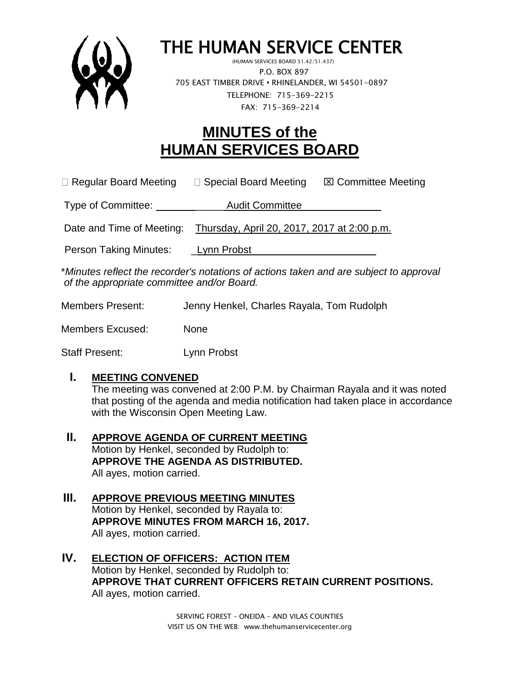

## THE HUMAN SERVICE CENTER

 (HUMAN SERVICES BOARD 51.42/51.437) P.O. BOX 897 705 EAST TIMBER DRIVE **•** RHINELANDER, WI 54501-0897 TELEPHONE: 715-369-2215 FAX: 715-369-2214

## **MINUTES of the HUMAN SERVICES BOARD**

 $\Box$  Regular Board Meeting  $\Box$  Special Board Meeting  $\Box$  Committee Meeting

Type of Committee: \_\_\_\_\_ Audit Committee\_\_\_\_\_\_\_\_\_\_\_\_\_\_

Date and Time of Meeting: Thursday, April 20, 2017, 2017 at 2:00 p.m.

Person Taking Minutes: Lynn Probst

\**Minutes reflect the recorder's notations of actions taken and are subject to approval of the appropriate committee and/or Board.*

Members Present: Jenny Henkel, Charles Rayala, Tom Rudolph

Members Excused: None

Staff Present: Lynn Probst

## **I. MEETING CONVENED**

The meeting was convened at 2:00 P.M. by Chairman Rayala and it was noted that posting of the agenda and media notification had taken place in accordance with the Wisconsin Open Meeting Law.

- **II. APPROVE AGENDA OF CURRENT MEETING** Motion by Henkel, seconded by Rudolph to: **APPROVE THE AGENDA AS DISTRIBUTED.** All ayes, motion carried.
- **III. APPROVE PREVIOUS MEETING MINUTES**  Motion by Henkel, seconded by Rayala to: **APPROVE MINUTES FROM MARCH 16, 2017.** All ayes, motion carried.
- **IV. ELECTION OF OFFICERS: ACTION ITEM** Motion by Henkel, seconded by Rudolph to: **APPROVE THAT CURRENT OFFICERS RETAIN CURRENT POSITIONS.** All ayes, motion carried.